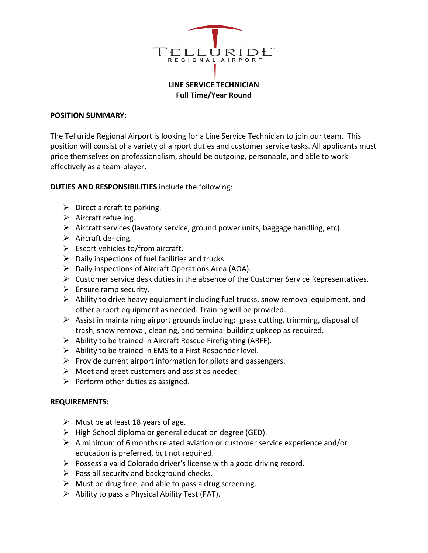

# **LINE SERVICE TECHNICIAN Full Time/Year Round**

#### **POSITION SUMMARY:**

The Telluride Regional Airport is looking for a Line Service Technician to join our team. This position will consist of a variety of airport duties and customer service tasks. All applicants must pride themselves on professionalism, should be outgoing, personable, and able to work effectively as a team-player**.**

### **DUTIES AND RESPONSIBILITIES** include the following:

- $\triangleright$  Direct aircraft to parking.
- $\triangleright$  Aircraft refueling.
- $\triangleright$  Aircraft services (lavatory service, ground power units, baggage handling, etc).
- $\triangleright$  Aircraft de-icing.
- $\triangleright$  Escort vehicles to/from aircraft.
- $\triangleright$  Daily inspections of fuel facilities and trucks.
- $\triangleright$  Daily inspections of Aircraft Operations Area (AOA).
- $\triangleright$  Customer service desk duties in the absence of the Customer Service Representatives.
- $\triangleright$  Ensure ramp security.
- $\triangleright$  Ability to drive heavy equipment including fuel trucks, snow removal equipment, and other airport equipment as needed. Training will be provided.
- $\triangleright$  Assist in maintaining airport grounds including: grass cutting, trimming, disposal of trash, snow removal, cleaning, and terminal building upkeep as required.
- $\triangleright$  Ability to be trained in Aircraft Rescue Firefighting (ARFF).
- $\triangleright$  Ability to be trained in EMS to a First Responder level.
- $\triangleright$  Provide current airport information for pilots and passengers.
- $\triangleright$  Meet and greet customers and assist as needed.
- $\triangleright$  Perform other duties as assigned.

### **REQUIREMENTS:**

- $\triangleright$  Must be at least 18 years of age.
- $\triangleright$  High School diploma or general education degree (GED).
- $\triangleright$  A minimum of 6 months related aviation or customer service experience and/or education is preferred, but not required.
- $\triangleright$  Possess a valid Colorado driver's license with a good driving record.
- $\triangleright$  Pass all security and background checks.
- $\triangleright$  Must be drug free, and able to pass a drug screening.
- $\triangleright$  Ability to pass a Physical Ability Test (PAT).